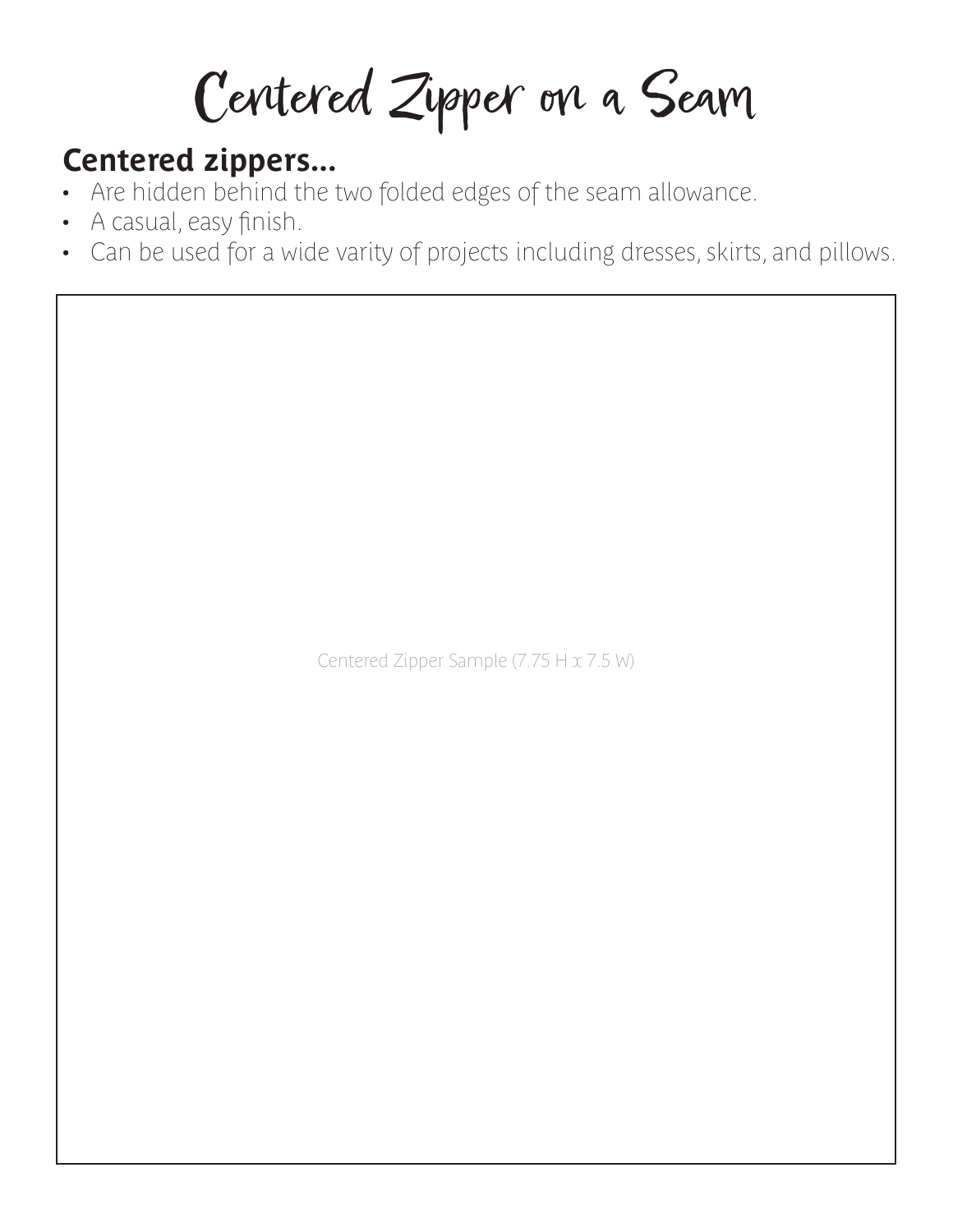Centered Zipper on a Seam

## **Centered zippers...**

- Are hidden behind the two folded edges of the seam allowance.
- A casual, easy finish.

 $\overline{\phantom{a}}$ 

• Can be used for a wide varity of projects including dresses, skirts, and pillows.

Centered Zipper Sample (7.75 H x 7.5 W)